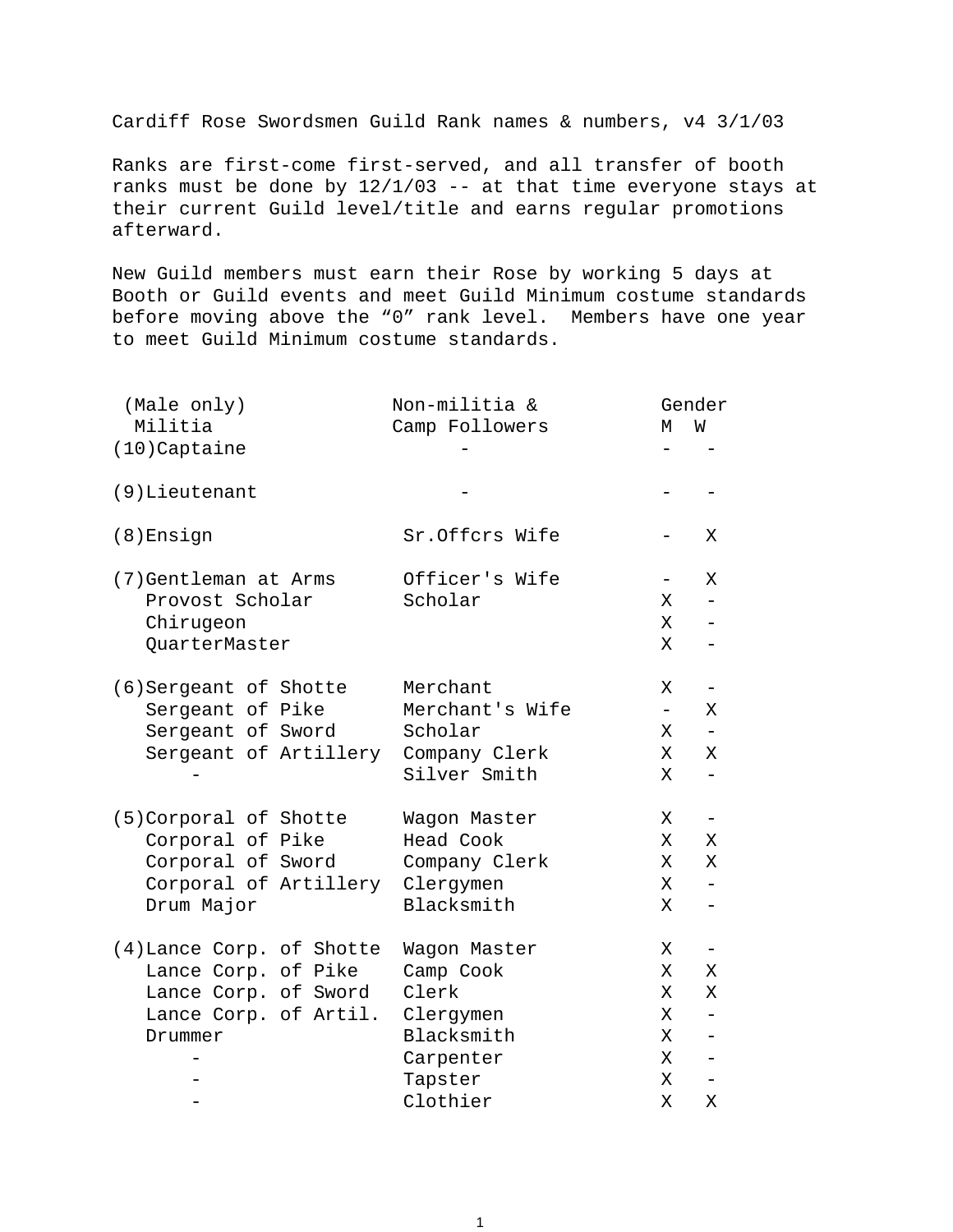Cardiff Rose Swordsmen Guild Rank names & numbers, v4 3/1/03

Ranks are first-come first-served, and all transfer of booth ranks must be done by 12/1/03 -- at that time everyone stays at their current Guild level/title and earns regular promotions afterward.

New Guild members must earn their Rose by working 5 days at Booth or Guild events and meet Guild Minimum costume standards before moving above the "0" rank level. Members have one year to meet Guild Minimum costume standards.

| (Male only)                         | Non-militia &   |                          | Gender                   |
|-------------------------------------|-----------------|--------------------------|--------------------------|
| Militia                             | Camp Followers  | М                        | W                        |
| (10) Captaine                       |                 |                          |                          |
| $(9)$ Lieutenant                    |                 |                          |                          |
| $(8)$ Ensign                        | Sr.Offcrs Wife  |                          | Χ                        |
| (7) Gentleman at Arms               | Officer's Wife  | $\overline{\phantom{0}}$ | X                        |
| Provost Scholar                     | Scholar         | Χ                        |                          |
| Chirugeon                           |                 | Χ                        | $-$                      |
| QuarterMaster                       |                 | Χ                        |                          |
| (6) Sergeant of Shotte              | Merchant        | Χ                        | $\qquad \qquad -$        |
| Sergeant of Pike                    | Merchant's Wife | $\equiv$                 | X                        |
| Sergeant of Sword                   | Scholar         | Χ                        |                          |
| Sergeant of Artillery Company Clerk |                 | Χ                        | Χ                        |
|                                     | Silver Smith    | X                        | $-$                      |
| (5) Corporal of Shotte              | Wagon Master    | Χ                        | $\overline{\phantom{a}}$ |
| Corporal of Pike                    | Head Cook       | Χ                        | Χ                        |
| Corporal of Sword                   | Company Clerk   | Χ                        | Χ                        |
| Corporal of Artillery Clergymen     |                 | Χ                        |                          |
| Drum Major                          | Blacksmith      | Χ                        | $\qquad \qquad -$        |
| (4) Lance Corp. of Shotte           | Wagon Master    | Χ                        |                          |
| Lance Corp. of Pike                 | Camp Cook       | Χ                        | X                        |
| Lance Corp. of Sword                | Clerk           | Χ                        | Χ                        |
| Lance Corp. of Artil. Clergymen     |                 | Χ                        |                          |
| Drummer                             | Blacksmith      | Χ                        |                          |
|                                     | Carpenter       | X                        | $\overline{\phantom{0}}$ |
|                                     | Tapster         | X                        | $-$                      |
|                                     | Clothier        | X                        | Χ                        |